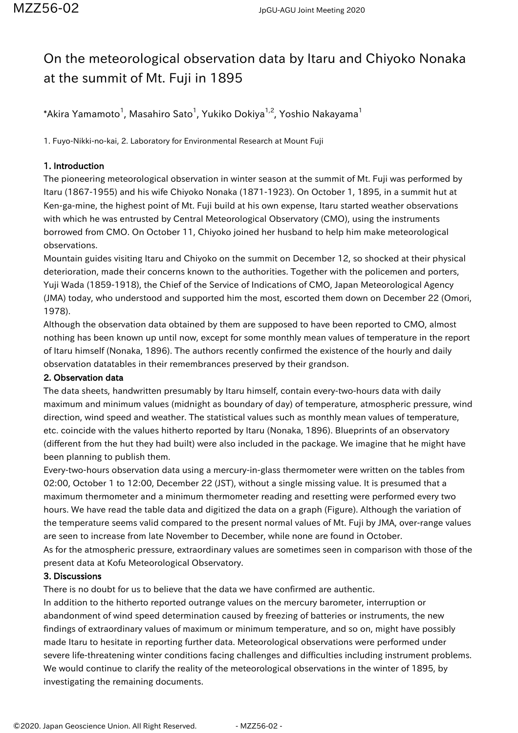# On the meteorological observation data by Itaru and Chiyoko Nonaka at the summit of Mt. Fuji in 1895

 $^*$ Akira Yamamoto $^1$ , Masahiro Sato $^1$ , Yukiko Dokiya $^{1,2}$ , Yoshio Nakayama $^1$ 

1. Fuyo-Nikki-no-kai, 2. Laboratory for Environmental Research at Mount Fuji

## 1. Introduction

The pioneering meteorological observation in winter season at the summit of Mt. Fuji was performed by Itaru (1867-1955) and his wife Chiyoko Nonaka (1871-1923). On October 1, 1895, in a summit hut at Ken-ga-mine, the highest point of Mt. Fuji build at his own expense, Itaru started weather observations with which he was entrusted by Central Meteorological Observatory (CMO), using the instruments borrowed from CMO. On October 11, Chiyoko joined her husband to help him make meteorological observations.

Mountain guides visiting Itaru and Chiyoko on the summit on December 12, so shocked at their physical deterioration, made their concerns known to the authorities. Together with the policemen and porters, Yuji Wada (1859-1918), the Chief of the Service of Indications of CMO, Japan Meteorological Agency (JMA) today, who understood and supported him the most, escorted them down on December 22 (Omori, 1978).

Although the observation data obtained by them are supposed to have been reported to CMO, almost nothing has been known up until now, except for some monthly mean values of temperature in the report of Itaru himself (Nonaka, 1896). The authors recently confirmed the existence of the hourly and daily observation datatables in their remembrances preserved by their grandson.

### 2. Observation data

The data sheets, handwritten presumably by Itaru himself, contain every-two-hours data with daily maximum and minimum values (midnight as boundary of day) of temperature, atmospheric pressure, wind direction, wind speed and weather. The statistical values such as monthly mean values of temperature, etc. coincide with the values hitherto reported by Itaru (Nonaka, 1896). Blueprints of an observatory (different from the hut they had built) were also included in the package. We imagine that he might have been planning to publish them.

Every-two-hours observation data using a mercury-in-glass thermometer were written on the tables from 02:00, October 1 to 12:00, December 22 (JST), without a single missing value. It is presumed that a maximum thermometer and a minimum thermometer reading and resetting were performed every two hours. We have read the table data and digitized the data on a graph (Figure). Although the variation of the temperature seems valid compared to the present normal values of Mt. Fuji by JMA, over-range values are seen to increase from late November to December, while none are found in October.

As for the atmospheric pressure, extraordinary values are sometimes seen in comparison with those of the present data at Kofu Meteorological Observatory.

### 3. Discussions

There is no doubt for us to believe that the data we have confirmed are authentic.

In addition to the hitherto reported outrange values on the mercury barometer, interruption or abandonment of wind speed determination caused by freezing of batteries or instruments, the new findings of extraordinary values of maximum or minimum temperature, and so on, might have possibly made Itaru to hesitate in reporting further data. Meteorological observations were performed under severe life-threatening winter conditions facing challenges and difficulties including instrument problems. We would continue to clarify the reality of the meteorological observations in the winter of 1895, by investigating the remaining documents.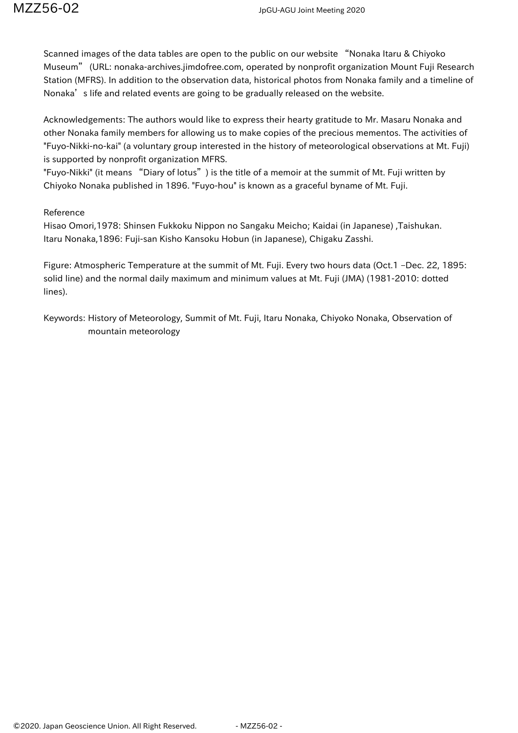Scanned images of the data tables are open to the public on our website "Nonaka Itaru & Chiyoko Museum" (URL: nonaka-archives.jimdofree.com, operated by nonprofit organization Mount Fuji Research Station (MFRS). In addition to the observation data, historical photos from Nonaka family and a timeline of Nonaka's life and related events are going to be gradually released on the website.

Acknowledgements: The authors would like to express their hearty gratitude to Mr. Masaru Nonaka and other Nonaka family members for allowing us to make copies of the precious mementos. The activities of "Fuyo-Nikki-no-kai" (a voluntary group interested in the history of meteorological observations at Mt. Fuji) is supported by nonprofit organization MFRS.

"Fuyo-Nikki" (it means "Diary of lotus") is the title of a memoir at the summit of Mt. Fuji written by Chiyoko Nonaka published in 1896. "Fuyo-hou" is known as a graceful byname of Mt. Fuji.

### Reference

Hisao Omori,1978: Shinsen Fukkoku Nippon no Sangaku Meicho; Kaidai (in Japanese) ,Taishukan. Itaru Nonaka,1896: Fuji-san Kisho Kansoku Hobun (in Japanese), Chigaku Zasshi.

Figure: Atmospheric Temperature at the summit of Mt. Fuji. Every two hours data (Oct.1 –Dec. 22, 1895: solid line) and the normal daily maximum and minimum values at Mt. Fuji (JMA) (1981-2010: dotted lines).

Keywords: History of Meteorology, Summit of Mt. Fuji, Itaru Nonaka, Chiyoko Nonaka, Observation of mountain meteorology